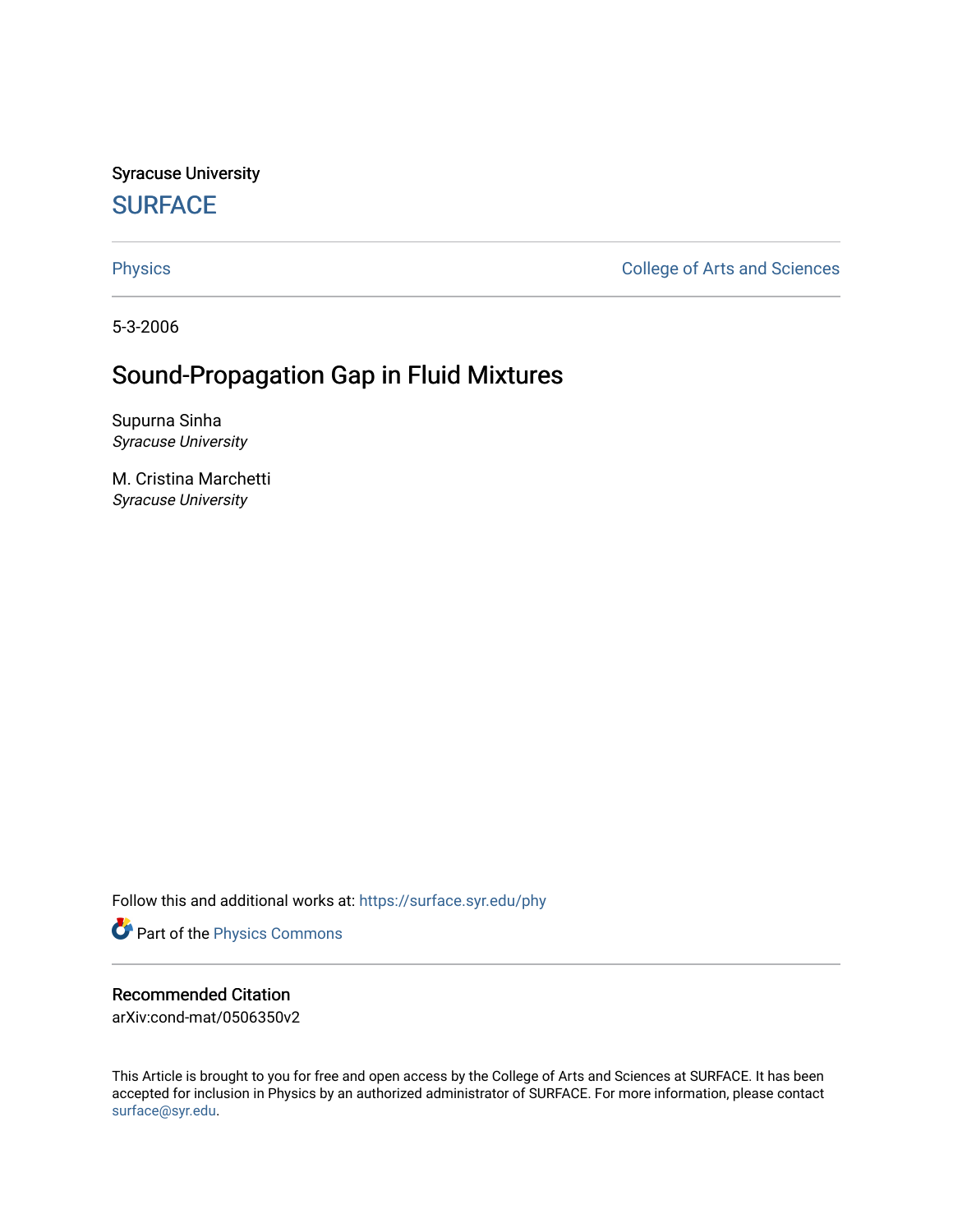Syracuse University **[SURFACE](https://surface.syr.edu/)** 

[Physics](https://surface.syr.edu/phy) **College of Arts and Sciences** 

5-3-2006

# Sound-Propagation Gap in Fluid Mixtures

Supurna Sinha Syracuse University

M. Cristina Marchetti Syracuse University

Follow this and additional works at: [https://surface.syr.edu/phy](https://surface.syr.edu/phy?utm_source=surface.syr.edu%2Fphy%2F89&utm_medium=PDF&utm_campaign=PDFCoverPages)

Part of the [Physics Commons](http://network.bepress.com/hgg/discipline/193?utm_source=surface.syr.edu%2Fphy%2F89&utm_medium=PDF&utm_campaign=PDFCoverPages)

## Recommended Citation

arXiv:cond-mat/0506350v2

This Article is brought to you for free and open access by the College of Arts and Sciences at SURFACE. It has been accepted for inclusion in Physics by an authorized administrator of SURFACE. For more information, please contact [surface@syr.edu.](mailto:surface@syr.edu)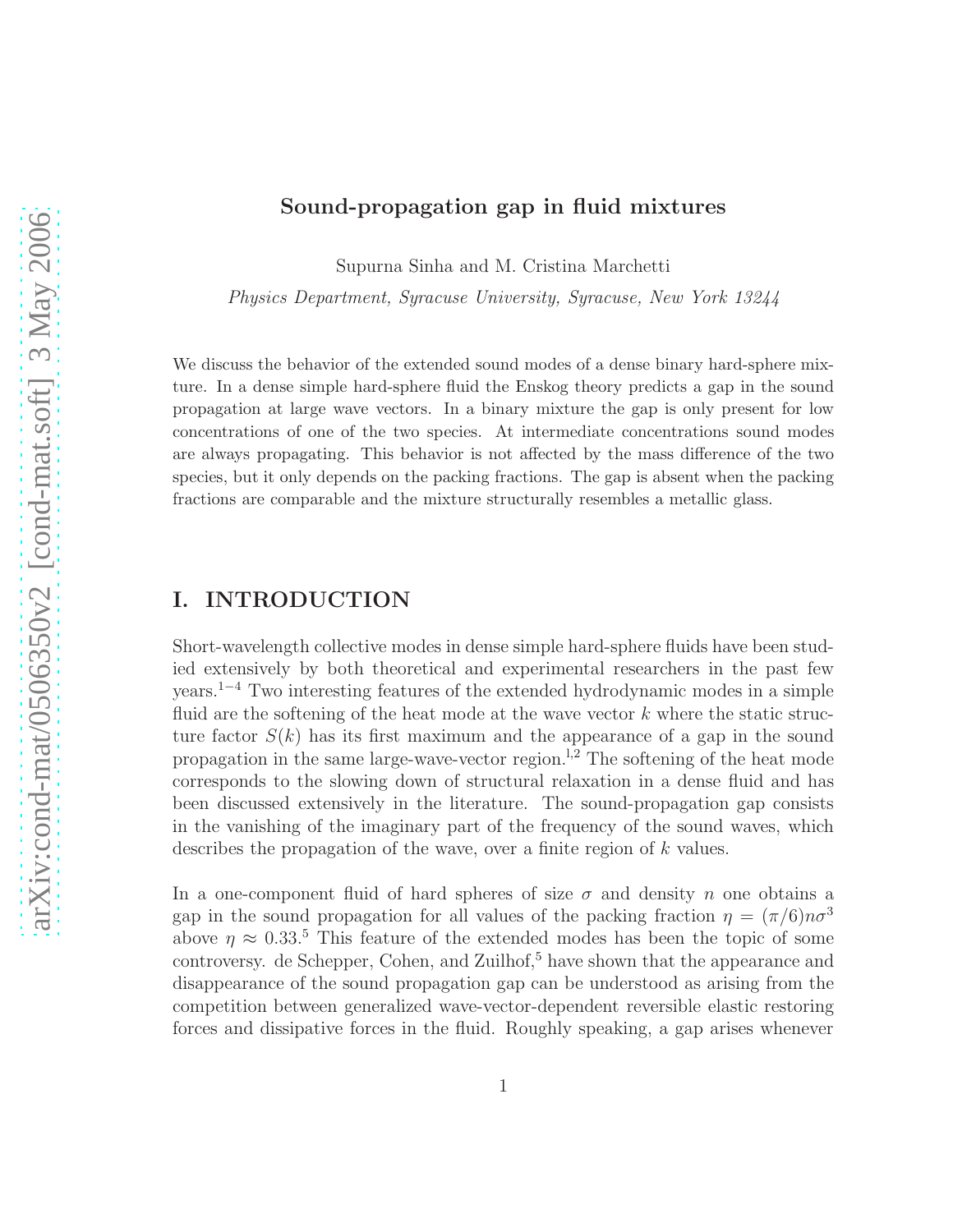#### Sound-propagation gap in fluid mixtures

Supurna Sinha and M. Cristina Marchetti

Physics Department, Syracuse University, Syracuse, New York 13244

We discuss the behavior of the extended sound modes of a dense binary hard-sphere mixture. In a dense simple hard-sphere fluid the Enskog theory predicts a gap in the sound propagation at large wave vectors. In a binary mixture the gap is only present for low concentrations of one of the two species. At intermediate concentrations sound modes are always propagating. This behavior is not affected by the mass difference of the two species, but it only depends on the packing fractions. The gap is absent when the packing fractions are comparable and the mixture structurally resembles a metallic glass.

## I. INTRODUCTION

Short-wavelength collective modes in dense simple hard-sphere fluids have been studied extensively by both theoretical and experimental researchers in the past few years.<sup>1</sup>−<sup>4</sup> Two interesting features of the extended hydrodynamic modes in a simple fluid are the softening of the heat mode at the wave vector  $k$  where the static structure factor  $S(k)$  has its first maximum and the appearance of a gap in the sound propagation in the same large-wave-vector region.<sup>1,2</sup> The softening of the heat mode corresponds to the slowing down of structural relaxation in a dense fluid and has been discussed extensively in the literature. The sound-propagation gap consists in the vanishing of the imaginary part of the frequency of the sound waves, which describes the propagation of the wave, over a finite region of k values.

In a one-component fluid of hard spheres of size  $\sigma$  and density n one obtains a gap in the sound propagation for all values of the packing fraction  $\eta = (\pi/6)n\sigma^3$ above  $\eta \approx 0.33$ <sup>5</sup>. This feature of the extended modes has been the topic of some controversy. de Schepper, Cohen, and Zuilhof,<sup>5</sup> have shown that the appearance and disappearance of the sound propagation gap can be understood as arising from the competition between generalized wave-vector-dependent reversible elastic restoring forces and dissipative forces in the fluid. Roughly speaking, a gap arises whenever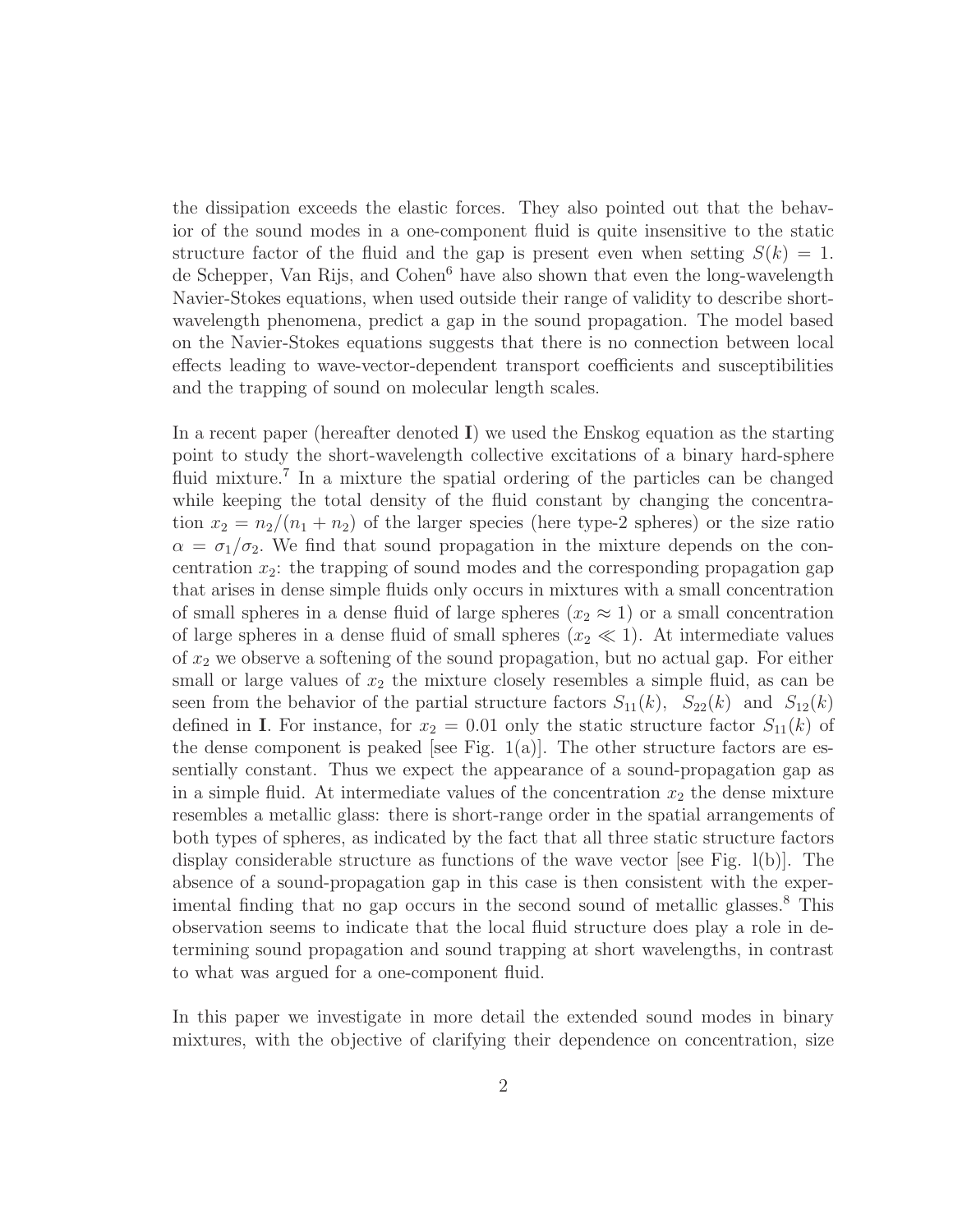the dissipation exceeds the elastic forces. They also pointed out that the behavior of the sound modes in a one-component fluid is quite insensitive to the static structure factor of the fluid and the gap is present even when setting  $S(k) = 1$ . de Schepper, Van Rijs, and Cohen<sup>6</sup> have also shown that even the long-wavelength Navier-Stokes equations, when used outside their range of validity to describe shortwavelength phenomena, predict a gap in the sound propagation. The model based on the Navier-Stokes equations suggests that there is no connection between local effects leading to wave-vector-dependent transport coefficients and susceptibilities and the trapping of sound on molecular length scales.

In a recent paper (hereafter denoted  $\mathbf{I}$ ) we used the Enskog equation as the starting point to study the short-wavelength collective excitations of a binary hard-sphere fluid mixture.<sup>7</sup> In a mixture the spatial ordering of the particles can be changed while keeping the total density of the fluid constant by changing the concentration  $x_2 = n_2/(n_1 + n_2)$  of the larger species (here type-2 spheres) or the size ratio  $\alpha = \sigma_1/\sigma_2$ . We find that sound propagation in the mixture depends on the concentration  $x_2$ : the trapping of sound modes and the corresponding propagation gap that arises in dense simple fluids only occurs in mixtures with a small concentration of small spheres in a dense fluid of large spheres  $(x_2 \approx 1)$  or a small concentration of large spheres in a dense fluid of small spheres  $(x_2 \ll 1)$ . At intermediate values of  $x_2$  we observe a softening of the sound propagation, but no actual gap. For either small or large values of  $x_2$  the mixture closely resembles a simple fluid, as can be seen from the behavior of the partial structure factors  $S_{11}(k)$ ,  $S_{22}(k)$  and  $S_{12}(k)$ defined in **I**. For instance, for  $x_2 = 0.01$  only the static structure factor  $S_{11}(k)$  of the dense component is peaked [see Fig.  $1(a)$ ]. The other structure factors are essentially constant. Thus we expect the appearance of a sound-propagation gap as in a simple fluid. At intermediate values of the concentration  $x_2$  the dense mixture resembles a metallic glass: there is short-range order in the spatial arrangements of both types of spheres, as indicated by the fact that all three static structure factors display considerable structure as functions of the wave vector [see Fig. l(b)]. The absence of a sound-propagation gap in this case is then consistent with the experimental finding that no gap occurs in the second sound of metallic glasses.<sup>8</sup> This observation seems to indicate that the local fluid structure does play a role in determining sound propagation and sound trapping at short wavelengths, in contrast to what was argued for a one-component fluid.

In this paper we investigate in more detail the extended sound modes in binary mixtures, with the objective of clarifying their dependence on concentration, size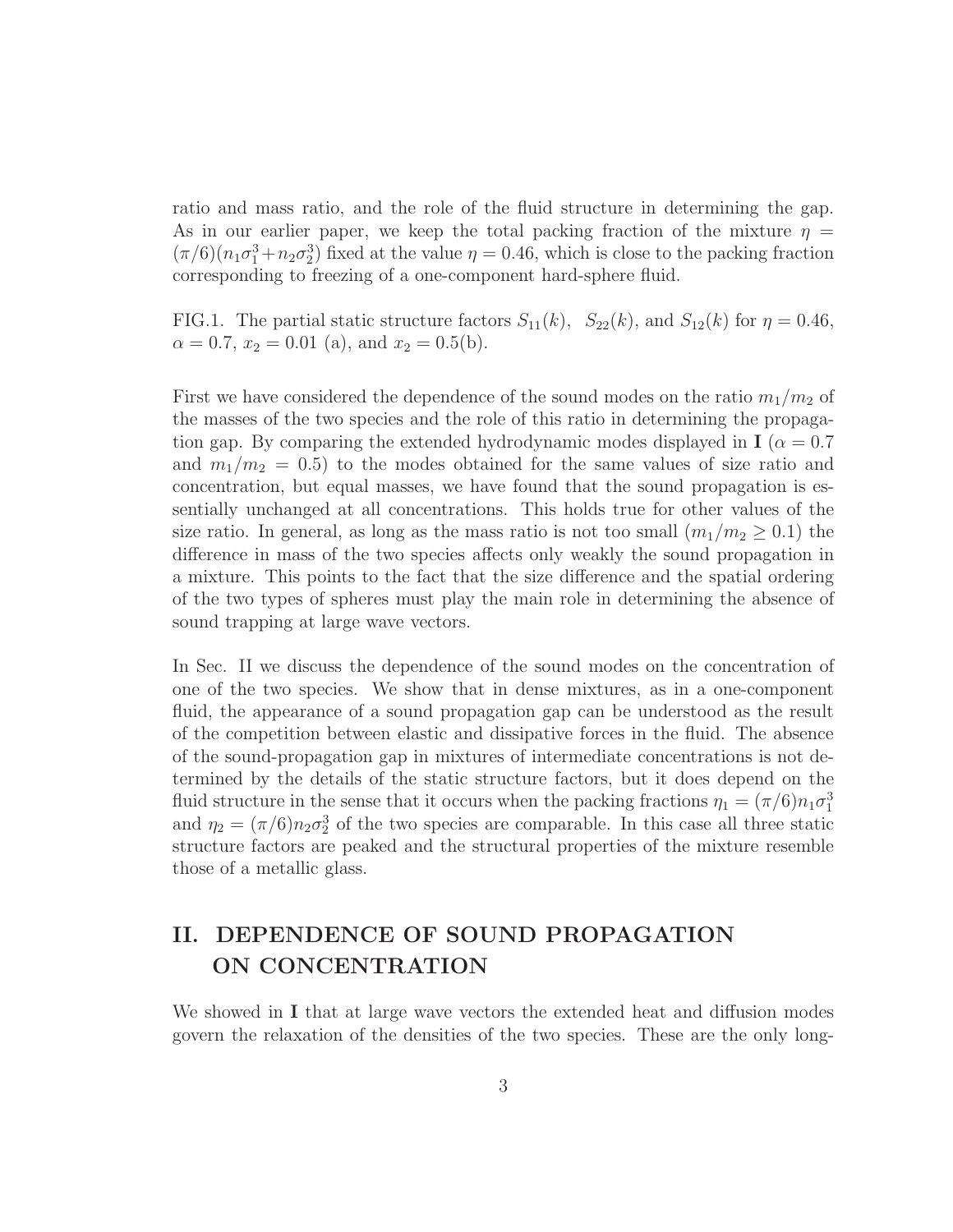ratio and mass ratio, and the role of the fluid structure in determining the gap. As in our earlier paper, we keep the total packing fraction of the mixture  $\eta$  $(\pi/6)(n_1\sigma_1^3 + n_2\sigma_2^3)$  fixed at the value  $\eta = 0.46$ , which is close to the packing fraction corresponding to freezing of a one-component hard-sphere fluid.

FIG.1. The partial static structure factors  $S_{11}(k)$ ,  $S_{22}(k)$ , and  $S_{12}(k)$  for  $\eta = 0.46$ ,  $\alpha = 0.7, x_2 = 0.01$  (a), and  $x_2 = 0.5$ (b).

First we have considered the dependence of the sound modes on the ratio  $m_1/m_2$  of the masses of the two species and the role of this ratio in determining the propagation gap. By comparing the extended hydrodynamic modes displayed in  $I(\alpha = 0.7)$ and  $m_1/m_2 = 0.5$  to the modes obtained for the same values of size ratio and concentration, but equal masses, we have found that the sound propagation is essentially unchanged at all concentrations. This holds true for other values of the size ratio. In general, as long as the mass ratio is not too small  $(m_1/m_2 \geq 0.1)$  the difference in mass of the two species affects only weakly the sound propagation in a mixture. This points to the fact that the size difference and the spatial ordering of the two types of spheres must play the main role in determining the absence of sound trapping at large wave vectors.

In Sec. II we discuss the dependence of the sound modes on the concentration of one of the two species. We show that in dense mixtures, as in a one-component fluid, the appearance of a sound propagation gap can be understood as the result of the competition between elastic and dissipative forces in the fluid. The absence of the sound-propagation gap in mixtures of intermediate concentrations is not determined by the details of the static structure factors, but it does depend on the fluid structure in the sense that it occurs when the packing fractions  $\eta_1 = (\pi/6)n_1\sigma_1^3$ and  $\eta_2 = (\pi/6)n_2\sigma_2^3$  of the two species are comparable. In this case all three static structure factors are peaked and the structural properties of the mixture resemble those of a metallic glass.

## II. DEPENDENCE OF SOUND PROPAGATION ON CONCENTRATION

We showed in I that at large wave vectors the extended heat and diffusion modes govern the relaxation of the densities of the two species. These are the only long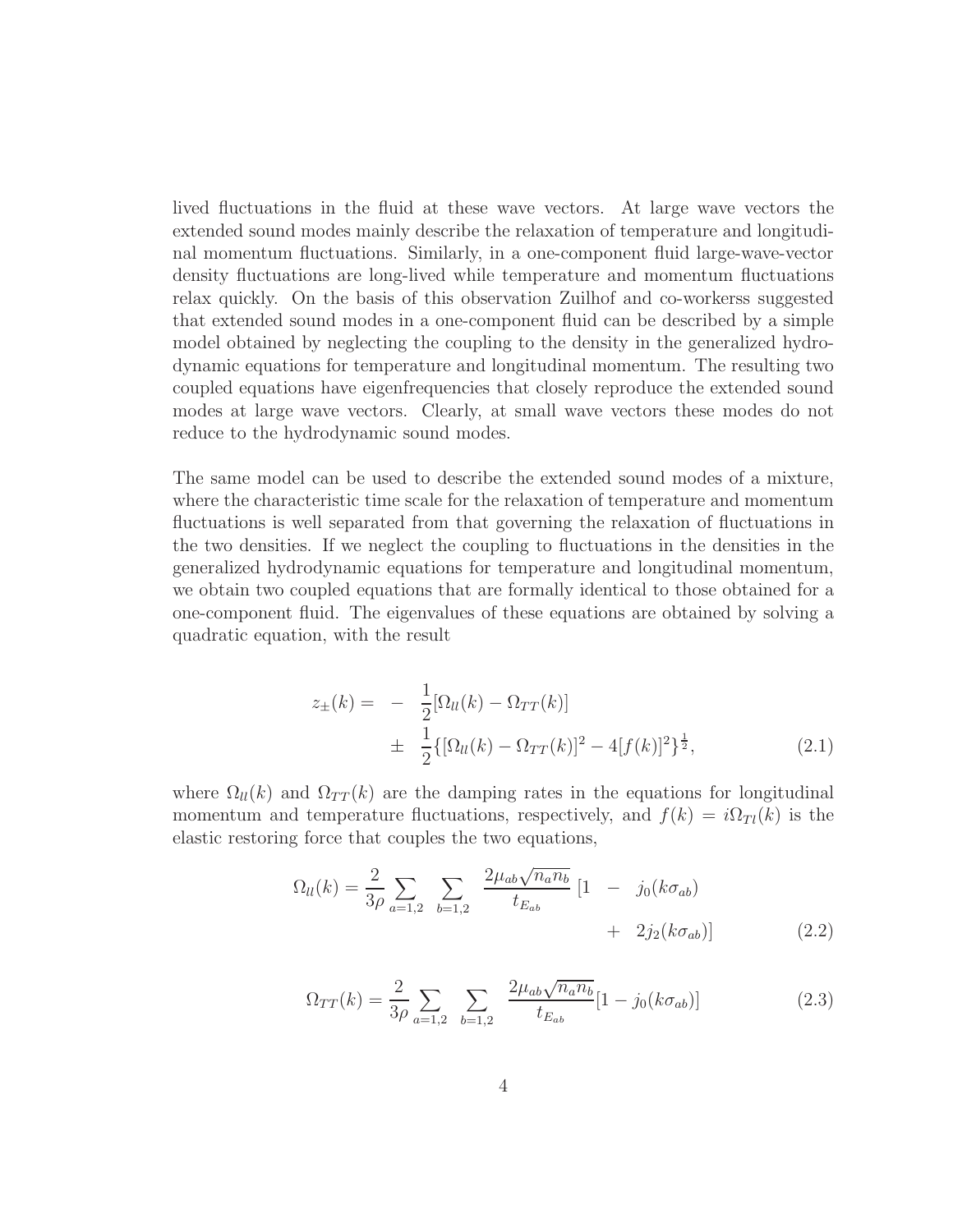lived fluctuations in the fluid at these wave vectors. At large wave vectors the extended sound modes mainly describe the relaxation of temperature and longitudinal momentum fluctuations. Similarly, in a one-component fluid large-wave-vector density fluctuations are long-lived while temperature and momentum fluctuations relax quickly. On the basis of this observation Zuilhof and co-workerss suggested that extended sound modes in a one-component fluid can be described by a simple model obtained by neglecting the coupling to the density in the generalized hydrodynamic equations for temperature and longitudinal momentum. The resulting two coupled equations have eigenfrequencies that closely reproduce the extended sound modes at large wave vectors. Clearly, at small wave vectors these modes do not reduce to the hydrodynamic sound modes.

The same model can be used to describe the extended sound modes of a mixture, where the characteristic time scale for the relaxation of temperature and momentum fluctuations is well separated from that governing the relaxation of fluctuations in the two densities. If we neglect the coupling to fluctuations in the densities in the generalized hydrodynamic equations for temperature and longitudinal momentum, we obtain two coupled equations that are formally identical to those obtained for a one-component fluid. The eigenvalues of these equations are obtained by solving a quadratic equation, with the result

$$
z_{\pm}(k) = -\frac{1}{2} [\Omega_{ll}(k) - \Omega_{TT}(k)]
$$
  

$$
\pm \frac{1}{2} {\{\Omega_{ll}(k) - \Omega_{TT}(k)\} }^2 - 4[f(k)]^2 \}^{\frac{1}{2}},
$$
 (2.1)

where  $\Omega_{ll}(k)$  and  $\Omega_{TT}(k)$  are the damping rates in the equations for longitudinal momentum and temperature fluctuations, respectively, and  $f(k) = i\Omega_{Tl}(k)$  is the elastic restoring force that couples the two equations,

$$
\Omega_{ll}(k) = \frac{2}{3\rho} \sum_{a=1,2} \sum_{b=1,2} \frac{2\mu_{ab}\sqrt{n_a n_b}}{t_{E_{ab}}} \left[1 - j_0(k\sigma_{ab}) + 2j_2(k\sigma_{ab})\right]
$$
(2.2)

$$
\Omega_{TT}(k) = \frac{2}{3\rho} \sum_{a=1,2} \sum_{b=1,2} \frac{2\mu_{ab}\sqrt{n_a n_b}}{t_{E_{ab}}} [1 - j_0(k\sigma_{ab})]
$$
\n(2.3)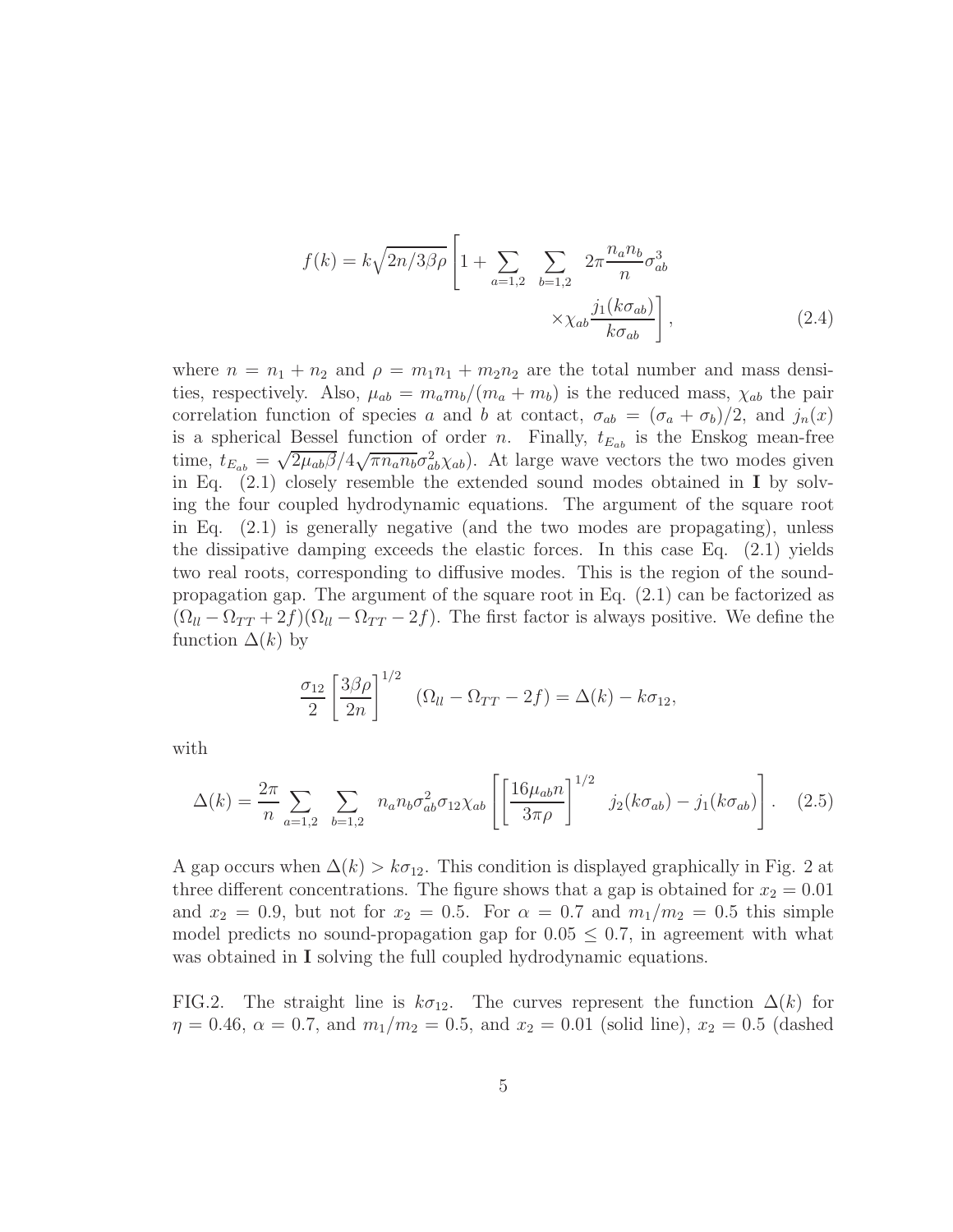$$
f(k) = k\sqrt{2n/3\beta\rho} \left[ 1 + \sum_{a=1,2} \sum_{b=1,2} 2\pi \frac{n_a n_b}{n} \sigma_{ab}^3 \right]
$$

$$
\times \chi_{ab} \frac{j_1(k\sigma_{ab})}{k\sigma_{ab}} \right],
$$
(2.4)

where  $n = n_1 + n_2$  and  $\rho = m_1 n_1 + m_2 n_2$  are the total number and mass densities, respectively. Also,  $\mu_{ab} = m_a m_b/(m_a + m_b)$  is the reduced mass,  $\chi_{ab}$  the pair correlation function of species a and b at contact,  $\sigma_{ab} = (\sigma_a + \sigma_b)/2$ , and  $j_n(x)$ is a spherical Bessel function of order n. Finally,  $t_{E_{ab}}$  is the Enskog mean-free time,  $t_{E_{ab}} = \sqrt{2\mu_{ab}\beta}/4\sqrt{\pi n_a n_b} \sigma_{ab}^2 \chi_{ab}$ ). At large wave vectors the two modes given in Eq.  $(2.1)$  closely resemble the extended sound modes obtained in I by solving the four coupled hydrodynamic equations. The argument of the square root in Eq. (2.1) is generally negative (and the two modes are propagating), unless the dissipative damping exceeds the elastic forces. In this case Eq. (2.1) yields two real roots, corresponding to diffusive modes. This is the region of the soundpropagation gap. The argument of the square root in Eq. (2.1) can be factorized as  $(\Omega_{ll} - \Omega_{TT} + 2f)(\Omega_{ll} - \Omega_{TT} - 2f)$ . The first factor is always positive. We define the function  $\Delta(k)$  by

$$
\frac{\sigma_{12}}{2} \left[ \frac{3\beta\rho}{2n} \right]^{1/2} \left( \Omega_{ll} - \Omega_{TT} - 2f \right) = \Delta(k) - k\sigma_{12},
$$

with

$$
\Delta(k) = \frac{2\pi}{n} \sum_{a=1,2} \sum_{b=1,2} n_a n_b \sigma_{ab}^2 \sigma_{12} \chi_{ab} \left[ \left[ \frac{16\mu_{ab} n}{3\pi \rho} \right]^{1/2} j_2(k\sigma_{ab}) - j_1(k\sigma_{ab}) \right].
$$
 (2.5)

A gap occurs when  $\Delta(k) > k\sigma_{12}$ . This condition is displayed graphically in Fig. 2 at three different concentrations. The figure shows that a gap is obtained for  $x_2 = 0.01$ and  $x_2 = 0.9$ , but not for  $x_2 = 0.5$ . For  $\alpha = 0.7$  and  $m_1/m_2 = 0.5$  this simple model predicts no sound-propagation gap for  $0.05 \leq 0.7$ , in agreement with what was obtained in **I** solving the full coupled hydrodynamic equations.

FIG.2. The straight line is  $k\sigma_{12}$ . The curves represent the function  $\Delta(k)$  for  $\eta = 0.46, \alpha = 0.7, \text{ and } m_1/m_2 = 0.5, \text{ and } x_2 = 0.01 \text{ (solid line)}, x_2 = 0.5 \text{ (dashed)}$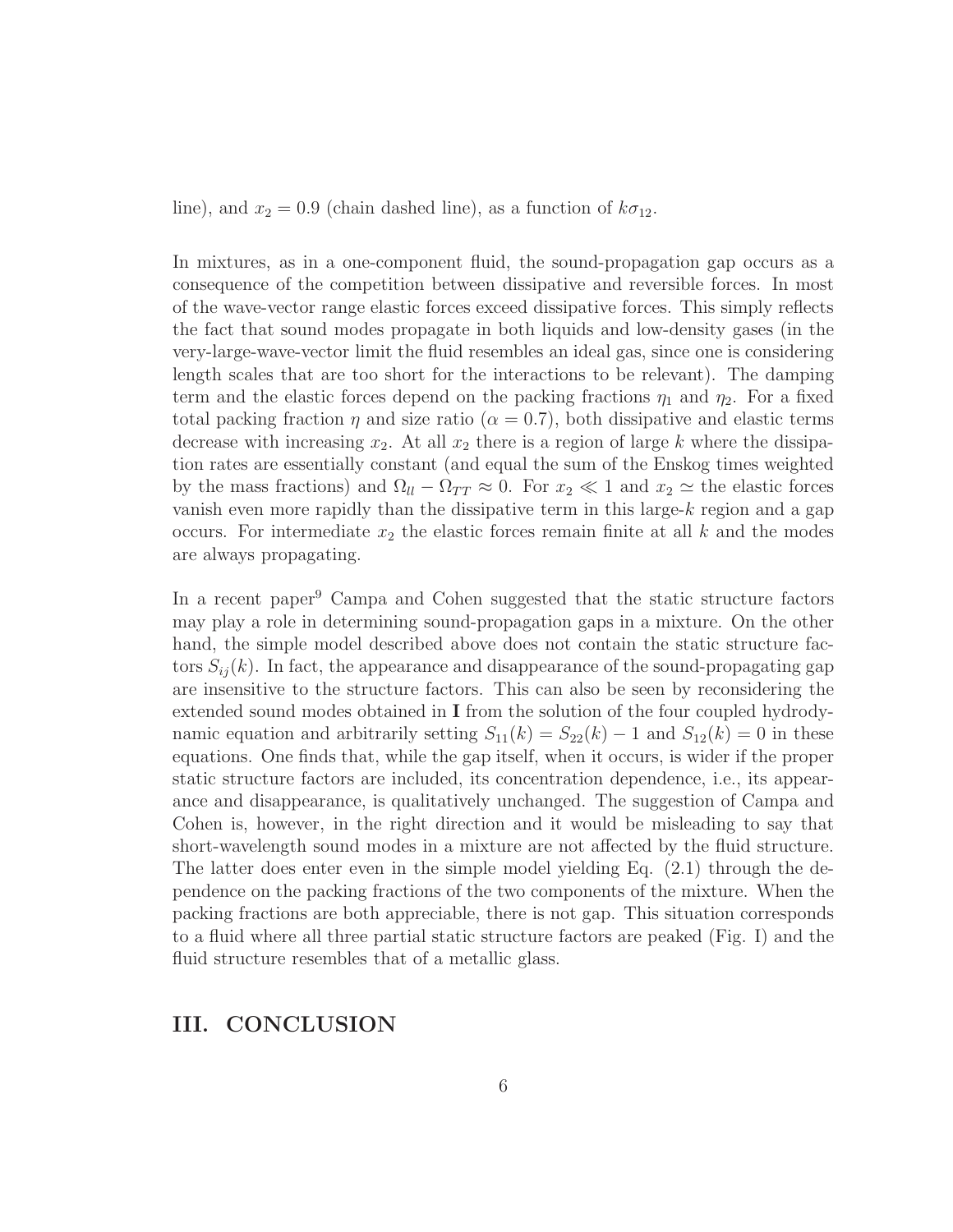line), and  $x_2 = 0.9$  (chain dashed line), as a function of  $k\sigma_{12}$ .

In mixtures, as in a one-component fluid, the sound-propagation gap occurs as a consequence of the competition between dissipative and reversible forces. In most of the wave-vector range elastic forces exceed dissipative forces. This simply reflects the fact that sound modes propagate in both liquids and low-density gases (in the very-large-wave-vector limit the fluid resembles an ideal gas, since one is considering length scales that are too short for the interactions to be relevant). The damping term and the elastic forces depend on the packing fractions  $\eta_1$  and  $\eta_2$ . For a fixed total packing fraction  $\eta$  and size ratio ( $\alpha = 0.7$ ), both dissipative and elastic terms decrease with increasing  $x_2$ . At all  $x_2$  there is a region of large k where the dissipation rates are essentially constant (and equal the sum of the Enskog times weighted by the mass fractions) and  $\Omega_{ll} - \Omega_{TT} \approx 0$ . For  $x_2 \ll 1$  and  $x_2 \approx$  the elastic forces vanish even more rapidly than the dissipative term in this large-k region and a gap occurs. For intermediate  $x_2$  the elastic forces remain finite at all k and the modes are always propagating.

In a recent paper<sup>9</sup> Campa and Cohen suggested that the static structure factors may play a role in determining sound-propagation gaps in a mixture. On the other hand, the simple model described above does not contain the static structure factors  $S_{ii}(k)$ . In fact, the appearance and disappearance of the sound-propagating gap are insensitive to the structure factors. This can also be seen by reconsidering the extended sound modes obtained in I from the solution of the four coupled hydrodynamic equation and arbitrarily setting  $S_{11}(k) = S_{22}(k) - 1$  and  $S_{12}(k) = 0$  in these equations. One finds that, while the gap itself, when it occurs, is wider if the proper static structure factors are included, its concentration dependence, i.e., its appearance and disappearance, is qualitatively unchanged. The suggestion of Campa and Cohen is, however, in the right direction and it would be misleading to say that short-wavelength sound modes in a mixture are not affected by the fluid structure. The latter does enter even in the simple model yielding Eq.  $(2.1)$  through the dependence on the packing fractions of the two components of the mixture. When the packing fractions are both appreciable, there is not gap. This situation corresponds to a fluid where all three partial static structure factors are peaked (Fig. I) and the fluid structure resembles that of a metallic glass.

### III. CONCLUSION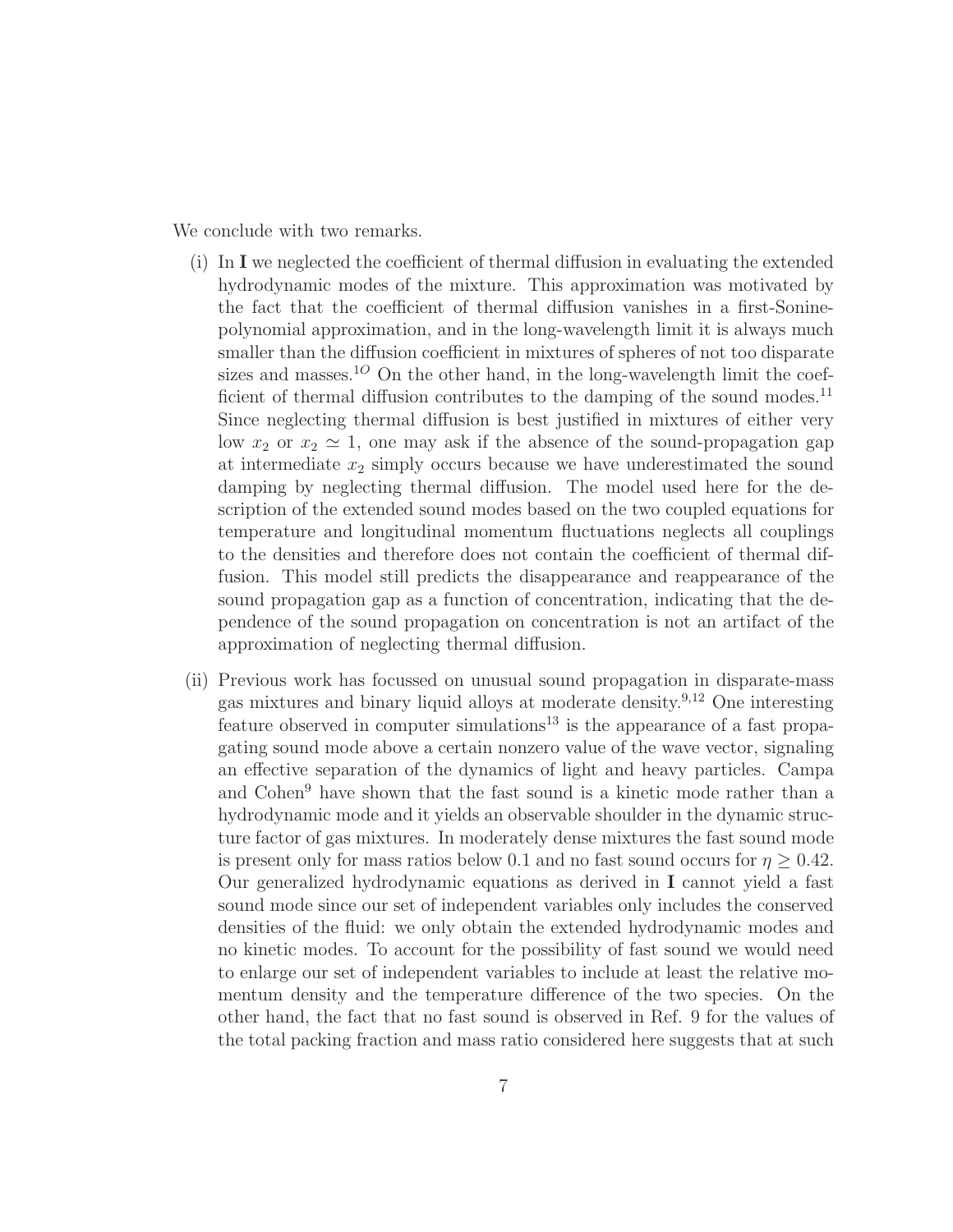We conclude with two remarks.

- (i) In I we neglected the coefficient of thermal diffusion in evaluating the extended hydrodynamic modes of the mixture. This approximation was motivated by the fact that the coefficient of thermal diffusion vanishes in a first-Soninepolynomial approximation, and in the long-wavelength limit it is always much smaller than the diffusion coefficient in mixtures of spheres of not too disparate sizes and masses.<sup>10</sup> On the other hand, in the long-wavelength limit the coefficient of thermal diffusion contributes to the damping of the sound modes.<sup>11</sup> Since neglecting thermal diffusion is best justified in mixtures of either very low  $x_2$  or  $x_2 \simeq 1$ , one may ask if the absence of the sound-propagation gap at intermediate  $x_2$  simply occurs because we have underestimated the sound damping by neglecting thermal diffusion. The model used here for the description of the extended sound modes based on the two coupled equations for temperature and longitudinal momentum fluctuations neglects all couplings to the densities and therefore does not contain the coefficient of thermal diffusion. This model still predicts the disappearance and reappearance of the sound propagation gap as a function of concentration, indicating that the dependence of the sound propagation on concentration is not an artifact of the approximation of neglecting thermal diffusion.
- (ii) Previous work has focussed on unusual sound propagation in disparate-mass gas mixtures and binary liquid alloys at moderate density.<sup>9</sup>,<sup>12</sup> One interesting feature observed in computer simulations<sup>13</sup> is the appearance of a fast propagating sound mode above a certain nonzero value of the wave vector, signaling an effective separation of the dynamics of light and heavy particles. Campa and Cohen<sup>9</sup> have shown that the fast sound is a kinetic mode rather than a hydrodynamic mode and it yields an observable shoulder in the dynamic structure factor of gas mixtures. In moderately dense mixtures the fast sound mode is present only for mass ratios below 0.1 and no fast sound occurs for  $\eta \geq 0.42$ . Our generalized hydrodynamic equations as derived in I cannot yield a fast sound mode since our set of independent variables only includes the conserved densities of the fluid: we only obtain the extended hydrodynamic modes and no kinetic modes. To account for the possibility of fast sound we would need to enlarge our set of independent variables to include at least the relative momentum density and the temperature difference of the two species. On the other hand, the fact that no fast sound is observed in Ref. 9 for the values of the total packing fraction and mass ratio considered here suggests that at such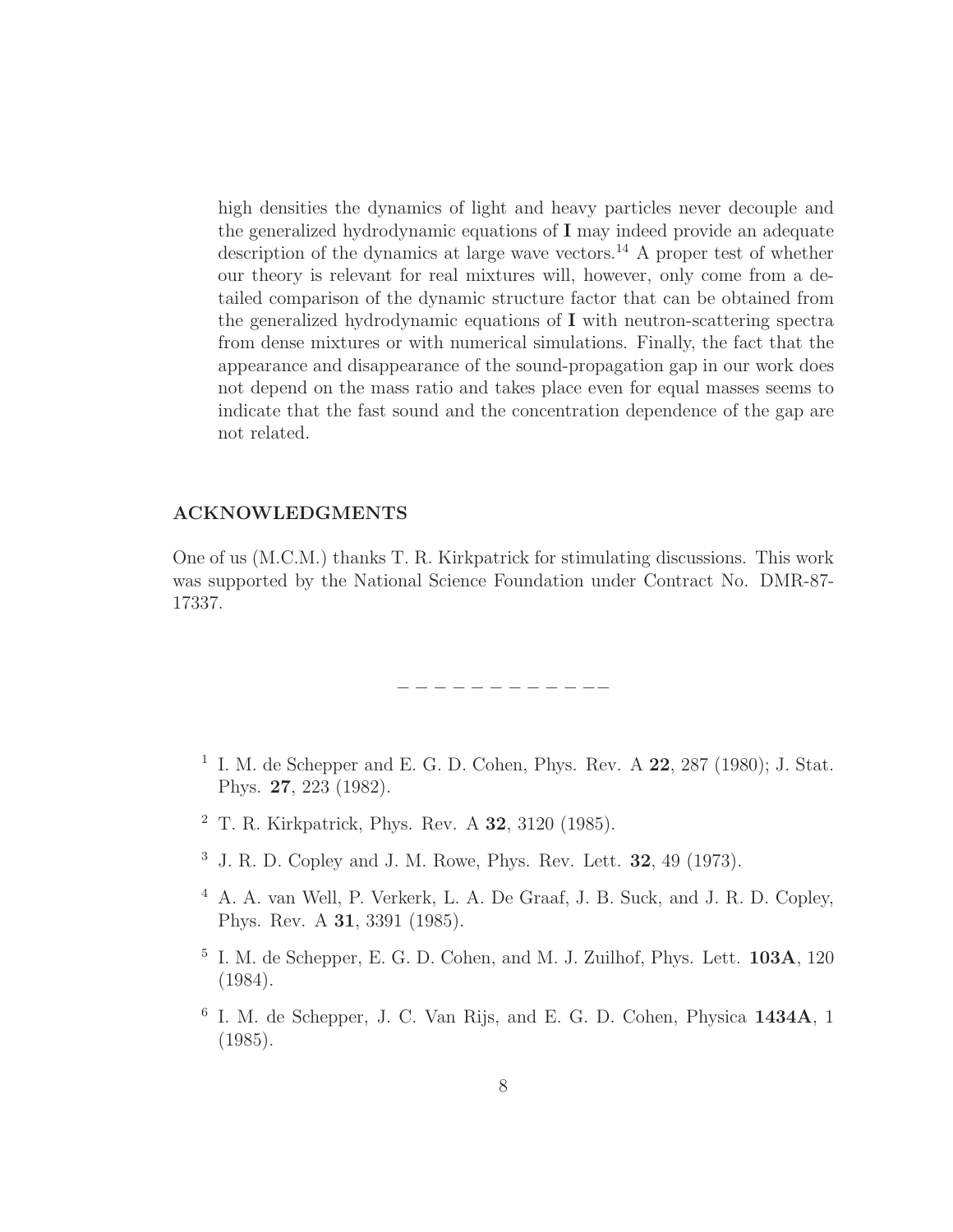high densities the dynamics of light and heavy particles never decouple and the generalized hydrodynamic equations of I may indeed provide an adequate description of the dynamics at large wave vectors.<sup>14</sup> A proper test of whether our theory is relevant for real mixtures will, however, only come from a detailed comparison of the dynamic structure factor that can be obtained from the generalized hydrodynamic equations of I with neutron-scattering spectra from dense mixtures or with numerical simulations. Finally, the fact that the appearance and disappearance of the sound-propagation gap in our work does not depend on the mass ratio and takes place even for equal masses seems to indicate that the fast sound and the concentration dependence of the gap are not related.

#### ACKNOWLEDGMENTS

One of us (M.C.M.) thanks T. R. Kirkpatrick for stimulating discussions. This work was supported by the National Science Foundation under Contract No. DMR-87- 17337.

− − − − − − − − − − −−

- <sup>1</sup> I. M. de Schepper and E. G. D. Cohen, Phys. Rev. A  $22$ ,  $287$  (1980); J. Stat. Phys. 27, 223 (1982).
- <sup>2</sup> T. R. Kirkpatrick, Phys. Rev. A 32, 3120 (1985).
- <sup>3</sup> J. R. D. Copley and J. M. Rowe, Phys. Rev. Lett. 32, 49 (1973).
- <sup>4</sup> A. A. van Well, P. Verkerk, L. A. De Graaf, J. B. Suck, and J. R. D. Copley, Phys. Rev. A 31, 3391 (1985).
- 5 I. M. de Schepper, E. G. D. Cohen, and M. J. Zuilhof, Phys. Lett. 103A, 120 (1984).
- 6 I. M. de Schepper, J. C. Van Rijs, and E. G. D. Cohen, Physica 1434A, 1 (1985).